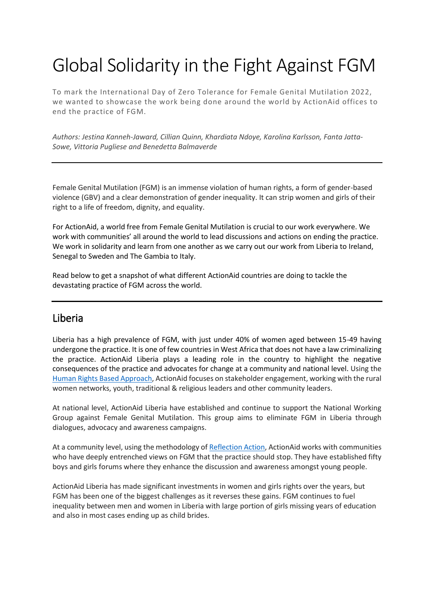# Global Solidarity in the Fight Against FGM

To mark the International Day of Zero Tolerance for Female Genital Mutilation 2022, we wanted to showcase the work being done around the world by ActionAid offices to end the practice of FGM.

*Authors: Jestina Kanneh-Jaward, Cillian Quinn, Khardiata Ndoye, Karolina Karlsson, Fanta Jatta-Sowe, Vittoria Pugliese and Benedetta Balmaverde*

Female Genital Mutilation (FGM) is an immense violation of human rights, a form of gender-based violence (GBV) and a clear demonstration of gender inequality. It can strip women and girls of their right to a life of freedom, dignity, and equality.

For ActionAid, a world free from Female Genital Mutilation is crucial to our work everywhere. We work with communities' all around the world to lead discussions and actions on ending the practice. We work in solidarity and learn from one another as we carry out our work from Liberia to Ireland, Senegal to Sweden and The Gambia to Italy.

Read below to get a snapshot of what different ActionAid countries are doing to tackle the devastating practice of FGM across the world.

### Liberia

Liberia has a high prevalence of FGM, with just under 40% of women aged between 15-49 having undergone the practice. It is one of few countries in West Africa that does not have a law criminalizing the practice. ActionAid Liberia plays a leading role in the country to highlight the negative consequences of the practice and advocates for change at a community and national level. Using the [Human Rights Based Approach,](https://actionaid.org/publications/2020/action-global-justice-practice) ActionAid focuses on stakeholder engagement, working with the rural women networks, youth, traditional & religious leaders and other community leaders.

At national level, ActionAid Liberia have established and continue to support the National Working Group against Female Genital Mutilation. This group aims to eliminate FGM in Liberia through dialogues, advocacy and awareness campaigns.

At a community level, using the methodology of [Reflection Action,](https://www.reflectionaction.org/pages/about-reflection-action/) ActionAid works with communities who have deeply entrenched views on FGM that the practice should stop. They have established fifty boys and girls forums where they enhance the discussion and awareness amongst young people.

ActionAid Liberia has made significant investments in women and girls rights over the years, but FGM has been one of the biggest challenges as it reverses these gains. FGM continues to fuel inequality between men and women in Liberia with large portion of girls missing years of education and also in most cases ending up as child brides.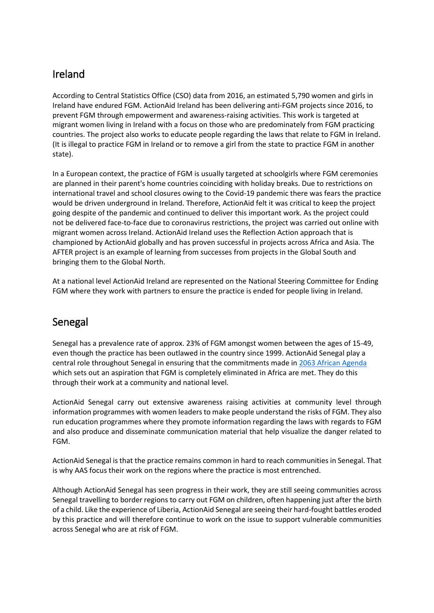# Ireland

According to Central Statistics Office (CSO) data from 2016, an estimated 5,790 women and girls in Ireland have endured FGM. ActionAid Ireland has been delivering anti-FGM projects since 2016, to prevent FGM through empowerment and awareness-raising activities. This work is targeted at migrant women living in Ireland with a focus on those who are predominately from FGM practicing countries. The project also works to educate people regarding the laws that relate to FGM in Ireland. (It is illegal to practice FGM in Ireland or to remove a girl from the state to practice FGM in another state).

In a European context, the practice of FGM is usually targeted at schoolgirls where FGM ceremonies are planned in their parent's home countries coinciding with holiday breaks. Due to restrictions on international travel and school closures owing to the Covid-19 pandemic there was fears the practice would be driven underground in Ireland. Therefore, ActionAid felt it was critical to keep the project going despite of the pandemic and continued to deliver this important work. As the project could not be delivered face-to-face due to coronavirus restrictions, the project was carried out online with migrant women across Ireland. ActionAid Ireland uses the Reflection Action approach that is championed by ActionAid globally and has proven successful in projects across Africa and Asia. The AFTER project is an example of learning from successes from projects in the Global South and bringing them to the Global North.

At a national level ActionAid Ireland are represented on the National Steering Committee for Ending FGM where they work with partners to ensure the practice is ended for people living in Ireland.

## Senegal

Senegal has a prevalence rate of approx. 23% of FGM amongst women between the ages of 15-49, even though the practice has been outlawed in the country since 1999. ActionAid Senegal play a central role throughout Senegal in ensuring that the commitments made in [2063 African Agenda](https://www.afdb.org/fileadmin/uploads/afdb/Documents/Policy-Documents/Agenda2063_Popular_Version_English.pdf) which sets out an aspiration that FGM is completely eliminated in Africa are met. They do this through their work at a community and national level.

ActionAid Senegal carry out extensive awareness raising activities at community level through information programmes with women leaders to make people understand the risks of FGM. They also run education programmes where they promote information regarding the laws with regards to FGM and also produce and disseminate communication material that help visualize the danger related to FGM.

ActionAid Senegal is that the practice remains common in hard to reach communities in Senegal. That is why AAS focus their work on the regions where the practice is most entrenched.

Although ActionAid Senegal has seen progress in their work, they are still seeing communities across Senegal travelling to border regions to carry out FGM on children, often happening just after the birth of a child. Like the experience of Liberia, ActionAid Senegal are seeing their hard-fought battles eroded by this practice and will therefore continue to work on the issue to support vulnerable communities across Senegal who are at risk of FGM.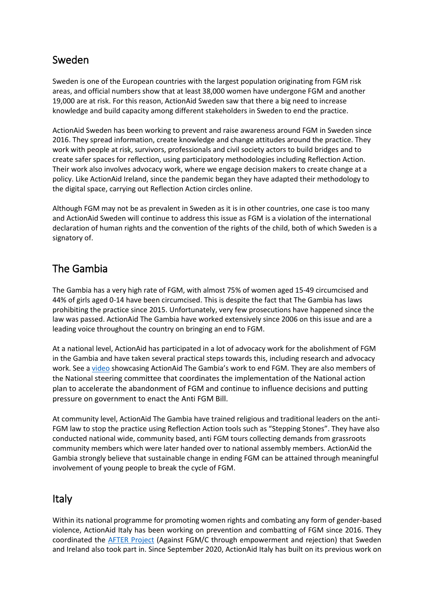## Sweden

Sweden is one of the European countries with the largest population originating from FGM risk areas, and official numbers show that at least 38,000 women have undergone FGM and another 19,000 are at risk. For this reason, ActionAid Sweden saw that there a big need to increase knowledge and build capacity among different stakeholders in Sweden to end the practice.

ActionAid Sweden has been working to prevent and raise awareness around FGM in Sweden since 2016. They spread information, create knowledge and change attitudes around the practice. They work with people at risk, survivors, professionals and civil society actors to build bridges and to create safer spaces for reflection, using participatory methodologies including Reflection Action. Their work also involves advocacy work, where we engage decision makers to create change at a policy. Like ActionAid Ireland, since the pandemic began they have adapted their methodology to the digital space, carrying out Reflection Action circles online.

Although FGM may not be as prevalent in Sweden as it is in other countries, one case is too many and ActionAid Sweden will continue to address this issue as FGM is a violation of the international declaration of human rights and the convention of the rights of the child, both of which Sweden is a signatory of.

## The Gambia

The Gambia has a very high rate of FGM, with almost 75% of women aged 15-49 circumcised and 44% of girls aged 0-14 have been circumcised. This is despite the fact that The Gambia has laws prohibiting the practice since 2015. Unfortunately, very few prosecutions have happened since the law was passed. ActionAid The Gambia have worked extensively since 2006 on this issue and are a leading voice throughout the country on bringing an end to FGM.

At a national level, ActionAid has participated in a lot of advocacy work for the abolishment of FGM in the Gambia and have taken several practical steps towards this, including research and advocacy work. See a [video](https://www.youtube.com/watch?v=j7Jpe8CUHis) showcasing ActionAid The Gambia's work to end FGM. They are also members of the National steering committee that coordinates the implementation of the National action plan to accelerate the abandonment of FGM and continue to influence decisions and putting pressure on government to enact the Anti FGM Bill.

At community level, ActionAid The Gambia have trained religious and traditional leaders on the anti-FGM law to stop the practice using Reflection Action tools such as "Stepping Stones". They have also conducted national wide, community based, anti FGM tours collecting demands from grassroots community members which were later handed over to national assembly members. ActionAid the Gambia strongly believe that sustainable change in ending FGM can be attained through meaningful involvement of young people to break the cycle of FGM.

### Italy

Within its national programme for promoting women rights and combating any form of gender-based violence, ActionAid Italy has been working on prevention and combatting of FGM since 2016. They coordinated the [AFTER Project](https://www.afterwomen.eu/project) (Against FGM/C through empowerment and rejection) that Sweden and Ireland also took part in. Since September 2020, ActionAid Italy has built on its previous work on